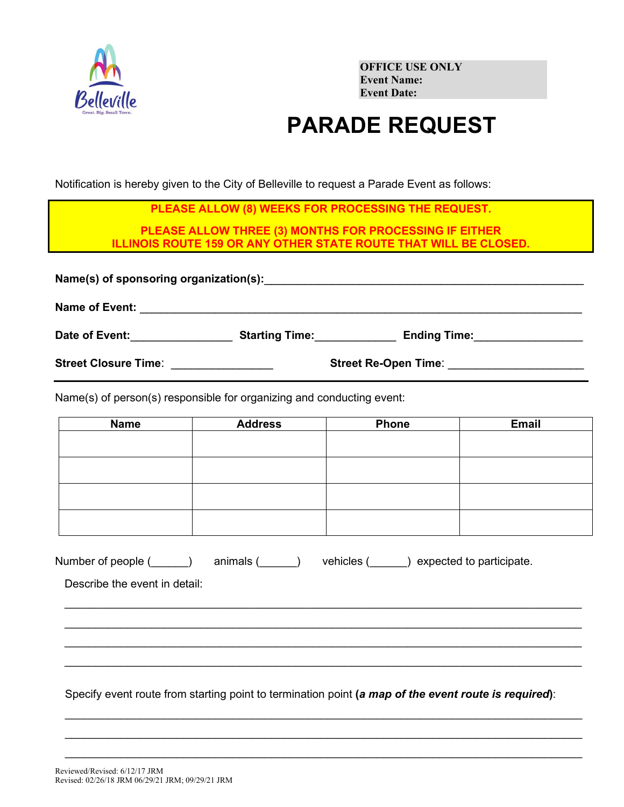

**OFFICE USE ONLY Event Name: Event Date:**

## **PARADE REQUEST**

Notification is hereby given to the City of Belleville to request a Parade Event as follows:

|                                                 | PLEASE ALLOW (8) WEEKS FOR PROCESSING THE REQUEST.                                         |                                                                         |
|-------------------------------------------------|--------------------------------------------------------------------------------------------|-------------------------------------------------------------------------|
|                                                 | PLEASE ALLOW THREE (3) MONTHS FOR PROCESSING IF EITHER                                     |                                                                         |
|                                                 |                                                                                            | <b>ILLINOIS ROUTE 159 OR ANY OTHER STATE ROUTE THAT WILL BE CLOSED.</b> |
| Name of Event:                                  | <u> 1980 - John Stone, Amerikaansk politiker (</u> † 1920)                                 |                                                                         |
| Date of Event: <u>_______________</u>           | <b>Starting Time:</b>                                                                      | <b>Ending Time:</b>                                                     |
| Street Closure Time: <b>Street Closure Time</b> |                                                                                            |                                                                         |
|                                                 | $\mathcal{N}_{\mathsf{p}}(n)$ of person(a) responsible for examining and conducting event: |                                                                         |

Name(s) of person(s) responsible for organizing and conducting event:

| <b>Name</b> | <b>Address</b> | <b>Phone</b> | <b>Email</b> |
|-------------|----------------|--------------|--------------|
|             |                |              |              |
|             |                |              |              |
|             |                |              |              |
|             |                |              |              |
|             |                |              |              |
|             |                |              |              |
|             |                |              |              |
|             |                |              |              |

 $\_$  , and the set of the set of the set of the set of the set of the set of the set of the set of the set of the set of the set of the set of the set of the set of the set of the set of the set of the set of the set of th  $\_$  , and the set of the set of the set of the set of the set of the set of the set of the set of the set of the set of the set of the set of the set of the set of the set of the set of the set of the set of the set of th  $\_$  , and the set of the set of the set of the set of the set of the set of the set of the set of the set of the set of the set of the set of the set of the set of the set of the set of the set of the set of the set of th  $\_$  , and the set of the set of the set of the set of the set of the set of the set of the set of the set of the set of the set of the set of the set of the set of the set of the set of the set of the set of the set of th

| Number of people ( | animals ( | vehicles ( | ) expected to participate. |
|--------------------|-----------|------------|----------------------------|
|--------------------|-----------|------------|----------------------------|

Describe the event in detail:

Specify event route from starting point to termination point **(***a map of the event route is required***)**:

 $\_$  , and the set of the set of the set of the set of the set of the set of the set of the set of the set of the set of the set of the set of the set of the set of the set of the set of the set of the set of the set of th  $\_$  ,  $\_$  ,  $\_$  ,  $\_$  ,  $\_$  ,  $\_$  ,  $\_$  ,  $\_$  ,  $\_$  ,  $\_$  ,  $\_$  ,  $\_$  ,  $\_$  ,  $\_$  ,  $\_$  ,  $\_$  ,  $\_$  ,  $\_$  ,  $\_$  ,  $\_$  ,  $\_$  ,  $\_$  ,  $\_$  ,  $\_$  ,  $\_$  ,  $\_$  ,  $\_$  ,  $\_$  ,  $\_$  ,  $\_$  ,  $\_$  ,  $\_$  ,  $\_$  ,  $\_$  ,  $\_$  ,  $\_$  ,  $\_$  ,  $\_$  , and the set of the set of the set of the set of the set of the set of the set of the set of the set of the set of the set of the set of the set of the set of the set of the set of the set of the set of the set of th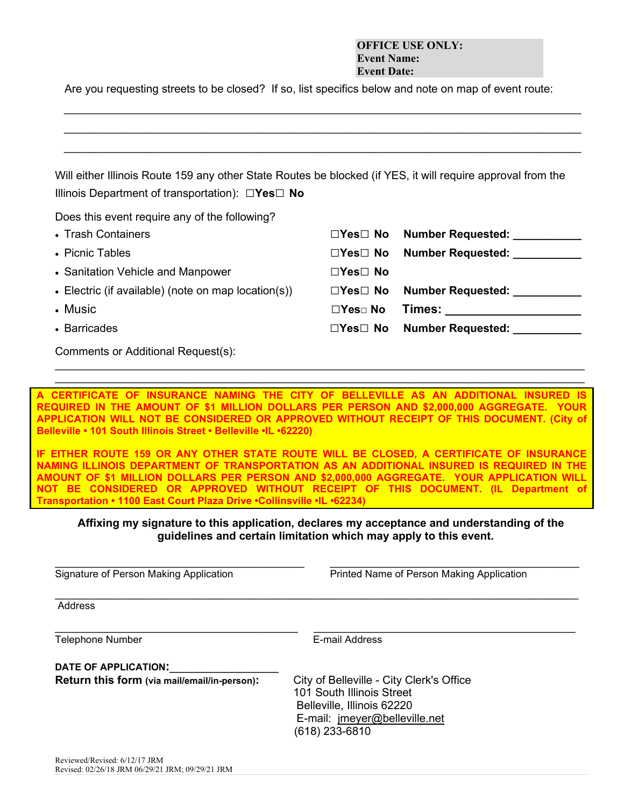## **OFFICE USE ONLY: Event Name: Event Date:**

Are you requesting streets to be closed? If so, list specifics below and note on map of event route:

*\_\_\_\_\_\_\_\_\_\_\_\_\_\_\_\_\_\_\_\_\_\_\_\_\_\_\_\_\_\_\_\_\_\_\_\_\_\_\_\_\_\_\_\_\_\_\_\_\_\_\_\_\_\_\_\_\_\_\_\_\_\_\_\_\_\_\_\_\_\_\_\_\_\_\_\_\_\_\_\_\_\_\_ \_\_\_\_\_\_\_\_\_\_\_\_\_\_\_\_\_\_\_\_\_\_\_\_\_\_\_\_\_\_\_\_\_\_\_\_\_\_\_\_\_\_\_\_\_\_\_\_\_\_\_\_\_\_\_\_\_\_\_\_\_\_\_\_\_\_\_\_\_\_\_\_\_\_\_\_\_\_\_\_\_\_\_*

| Will either Illinois Route 159 any other State Routes be blocked (if YES, it will require approval from the<br>Illinois Department of transportation): $\Box$ Yes $\Box$ No |                       |                               |
|-----------------------------------------------------------------------------------------------------------------------------------------------------------------------------|-----------------------|-------------------------------|
| Does this event require any of the following?                                                                                                                               |                       |                               |
| • Trash Containers                                                                                                                                                          | $\Box$ Yes $\Box$ No  | Number Requested: ___________ |
| • Picnic Tables                                                                                                                                                             | $\Box$ Yes $\Box$ No  | Number Requested: Number      |
| • Sanitation Vehicle and Manpower                                                                                                                                           | $\Box Y$ es $\Box$ No |                               |
| • Electric (if available) (note on map location(s))                                                                                                                         | $\Box$ Yes $\Box$ No  | Number Requested:             |
| • Music                                                                                                                                                                     | $\Box Y$ es $\Box$ No | Times:                        |
| • Barricades                                                                                                                                                                | $\Box$ Yes $\Box$ No  | <b>Number Requested:</b>      |

**A CERTIFICATE OF INSURANCE NAMING THE CITY OF BELLEVILLE AS AN ADDITIONAL INSURED IS REQUIRED IN THE AMOUNT OF \$1 MILLION DOLLARS PER PERSON AND \$2,000,000 AGGREGATE. YOUR APPLICATION WILL NOT BE CONSIDERED OR APPROVED WITHOUT RECEIPT OF THIS DOCUMENT. (City of Belleville • 101 South Illinois Street • Belleville •IL •62220)**

 $\_$  , and the set of the set of the set of the set of the set of the set of the set of the set of the set of the set of the set of the set of the set of the set of the set of the set of the set of the set of the set of th

**IF EITHER ROUTE 159 OR ANY OTHER STATE ROUTE WILL BE CLOSED, A CERTIFICATE OF INSURANCE NAMING ILLINOIS DEPARTMENT OF TRANSPORTATION AS AN ADDITIONAL INSURED IS REQUIRED IN THE AMOUNT OF \$1 MILLION DOLLARS PER PERSON AND \$2,000,000 AGGREGATE. YOUR APPLICATION WILL NOT BE CONSIDERED OR APPROVED WITHOUT RECEIPT OF THIS DOCUMENT. (IL Department of Transportation • 1100 East Court Plaza Drive •Collinsville •IL •62234)**

## **Affixing my signature to this application, declares my acceptance and understanding of the guidelines and certain limitation which may apply to this event.**

 $\_$  , and the set of the set of the set of the set of the set of the set of the set of the set of the set of the set of the set of the set of the set of the set of the set of the set of the set of the set of the set of th

 $\_$  ,  $\_$  ,  $\_$  ,  $\_$  ,  $\_$  ,  $\_$  ,  $\_$  ,  $\_$  ,  $\_$  ,  $\_$  ,  $\_$  ,  $\_$  ,  $\_$  ,  $\_$  ,  $\_$  ,  $\_$  ,  $\_$  ,  $\_$  ,  $\_$  ,  $\_$  ,  $\_$  ,  $\_$  ,  $\_$  ,  $\_$  ,  $\_$  ,  $\_$  ,  $\_$  ,  $\_$  ,  $\_$  ,  $\_$  ,  $\_$  ,  $\_$  ,  $\_$  ,  $\_$  ,  $\_$  ,  $\_$  ,  $\_$  ,

Signature of Person Making Application **Printed Name of Person Making Application** 

**Address** 

 $\_$  ,  $\_$  ,  $\_$  ,  $\_$  ,  $\_$  ,  $\_$  ,  $\_$  ,  $\_$  ,  $\_$  ,  $\_$  ,  $\_$  ,  $\_$  ,  $\_$  ,  $\_$  ,  $\_$  ,  $\_$  ,  $\_$  ,  $\_$  ,  $\_$  ,  $\_$  ,  $\_$  ,  $\_$  ,  $\_$  ,  $\_$  ,  $\_$  ,  $\_$  ,  $\_$  ,  $\_$  ,  $\_$  ,  $\_$  ,  $\_$  ,  $\_$  ,  $\_$  ,  $\_$  ,  $\_$  ,  $\_$  ,  $\_$  , Telephone Number **E-mail Address** 

DATE OF APPLICATION:

**Return this form (via mail/email/in-person):** City of Belleville - City Clerk's Office

101 South Illinois Street Belleville, Illinois 62220 E-mail: jmeyer@belleville.net (618) 233-6810